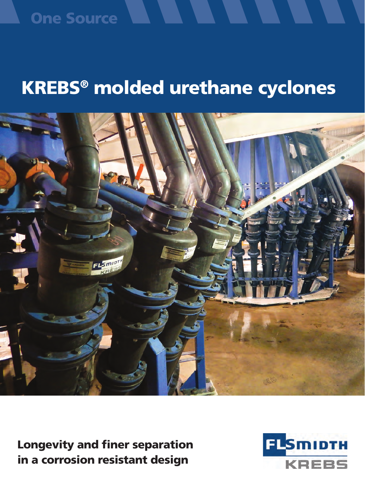### **One Source**

## KREBS® molded urethane cyclones



Longevity and finer separation in a corrosion resistant design

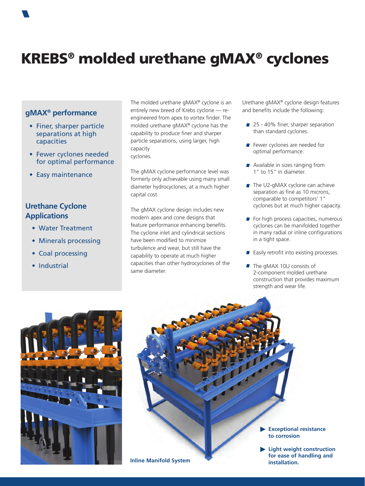

### **gMAX® performance**

- Finer, sharper particle separations at high capacities
- Fewer cyclones needed for optimal performance
- Easy maintenance

### **Urethane Cyclone Applications**

- Water Treatment
- Minerals processing
- Coal processing
- Industrial

The molded urethane gMAX® cyclone is an entirely new breed of Krebs cyclone — reengineered from apex to vortex finder. The molded urethane gMAX® cyclone has the capability to produce finer and sharper particle separations, using larger, high capacity cyclones.

The gMAX cyclone performance level was formerly only achievable using many small diameter hydrocyclones, at a much higher capital cost.

The gMAX cyclone design includes new modern apex and cone designs that feature performance enhancing benefits. The cyclone inlet and cylindrical sections have been modified to minimize turbulence and wear, but still have the capability to operate at much higher capacities than other hydrocyclones of the same diameter.

Urethane gMAX® cyclone design features and benefits include the following:

- 25 40% finer, sharper separation than standard cyclones.
- **F** Fewer cyclones are needed for optimal performance.
- **Available in sizes ranging from** 1" to 15" in diameter.
- **The U2-gMAX cyclone can achieve** separation as fine as 10 microns, comparable to competitors' 1" cyclones but at much higher capacity.
- $\blacksquare$  For high process capacities, numerous cyclones can be manifolded together in many radial or inline configurations in a tight space.
- $\blacksquare$  Easily retrofit into existing processes.
- **The gMAX 10U consists of** 2-component molded urethane construction that provides maximum strength and wear life.



**Exceptional resistance to corrosion Light weight construction for ease of handling and Inline Manifold System**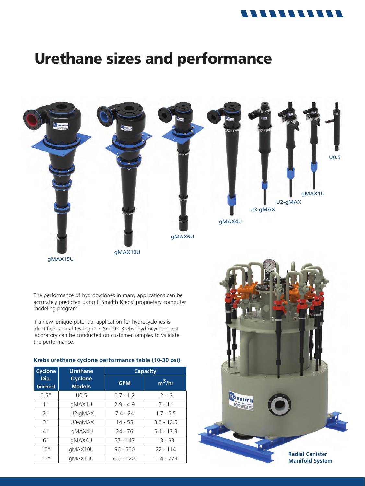### 11111111111

### Urethane sizes and performance



15" | gMAX15U | 500 - 1200 | 114 - 273

**Radial Canister Manifold System**